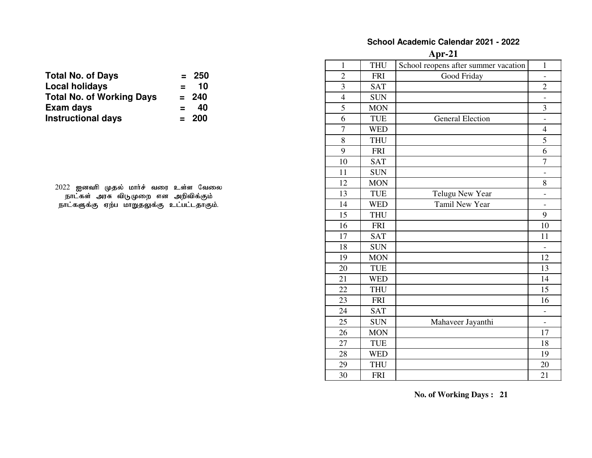#### **School Academic Calendar 2021 - 2022**

**Apr-21**

|                                             |                | $\mathbf{1}$   | <b>THU</b> | School reopens after summer vacation | $\mathbf{1}$             |
|---------------------------------------------|----------------|----------------|------------|--------------------------------------|--------------------------|
| <b>Total No. of Days</b>                    | 250<br>$=$     | $\overline{2}$ | <b>FRI</b> | Good Friday                          | $\overline{\phantom{a}}$ |
| <b>Local holidays</b>                       | 10<br>$\equiv$ | $\overline{3}$ | <b>SAT</b> |                                      | $\overline{2}$           |
| <b>Total No. of Working Days</b>            | 240<br>$=$     | $\overline{4}$ | <b>SUN</b> |                                      | $\overline{\phantom{a}}$ |
| Exam days                                   | 40<br>$=$      | 5              | <b>MON</b> |                                      | 3                        |
| <b>Instructional days</b>                   | 200<br>$=$     | 6              | <b>TUE</b> | <b>General Election</b>              | $\overline{\phantom{a}}$ |
|                                             |                | $\tau$         | <b>WED</b> |                                      | $\overline{4}$           |
|                                             |                | 8              | <b>THU</b> |                                      | 5                        |
|                                             |                | 9              | <b>FRI</b> |                                      | 6                        |
|                                             |                | 10             | <b>SAT</b> |                                      | $\overline{7}$           |
|                                             |                | 11             | <b>SUN</b> |                                      | $\overline{\phantom{a}}$ |
| 2022 ஐனவரி முதல் மார்ச் வரை உள்ள வேலை       |                | 12             | <b>MON</b> |                                      | 8                        |
| நாட்கள் அரசு விடுமுறை என அறிவிக்கும்        |                | 13             | <b>TUE</b> | Telugu New Year                      | $\blacksquare$           |
| நாட்களுக்கு ஏற்ப மாறுதலுக்கு உட்பட்டதாகும். |                | 14             | <b>WED</b> | Tamil New Year                       | $\overline{\phantom{a}}$ |
|                                             |                | 15             | <b>THU</b> |                                      | 9                        |
|                                             |                | 16             | <b>FRI</b> |                                      | 10                       |
|                                             |                | 17             | <b>SAT</b> |                                      | 11                       |
|                                             |                | 18             | <b>SUN</b> |                                      | $\equiv$                 |
|                                             |                | 19             | <b>MON</b> |                                      | 12                       |
|                                             |                | 20             | <b>TUE</b> |                                      | 13                       |
|                                             |                | 21             | <b>WED</b> |                                      | 14                       |
|                                             |                | 22             | <b>THU</b> |                                      | 15                       |
|                                             |                | 23             | <b>FRI</b> |                                      | 16                       |
|                                             |                | 24             | <b>SAT</b> |                                      | $\overline{\phantom{a}}$ |
|                                             |                | 25             | <b>SUN</b> | Mahaveer Jayanthi                    | $\overline{\phantom{a}}$ |
|                                             |                | 26             | <b>MON</b> |                                      | 17                       |
|                                             |                | 27             | <b>TUE</b> |                                      | 18                       |
|                                             |                | 28             | <b>WED</b> |                                      | 19                       |
|                                             |                | 29             | <b>THU</b> |                                      | 20                       |
|                                             |                | 30             | <b>FRI</b> |                                      | 21                       |

| <b>Total No. of Days</b>         |     | $= 250$ |
|----------------------------------|-----|---------|
| Local holidays                   | $=$ | 10      |
| <b>Total No. of Working Days</b> |     | $= 240$ |
| Exam days                        | $=$ | 40      |
| <b>Instructional days</b>        |     | $= 200$ |
|                                  |     |         |

**No. of Working Days : 21**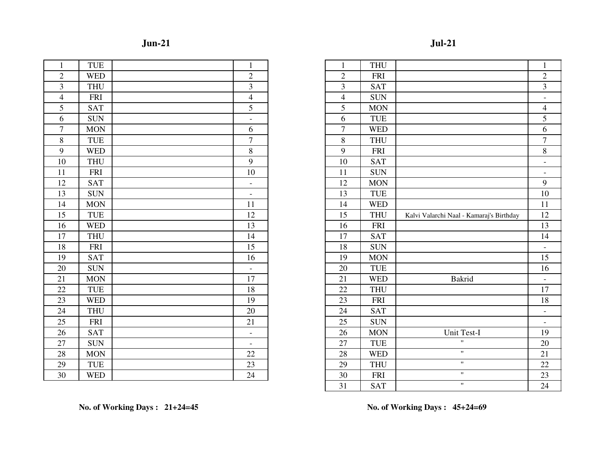| ۱<br>Ш |  |
|--------|--|

# **Jul-21**

| $\mathbf{1}$   | <b>TUE</b> | $\mathbf{1}$             | $\mathbf{1}$   | <b>THU</b> |
|----------------|------------|--------------------------|----------------|------------|
| $\overline{2}$ | <b>WED</b> | $\overline{2}$           | $\overline{2}$ | <b>FRI</b> |
| 3              | <b>THU</b> | $\overline{3}$           | 3              | <b>SAT</b> |
| $\overline{4}$ | <b>FRI</b> | $\overline{4}$           | $\overline{4}$ | <b>SUN</b> |
| 5              | <b>SAT</b> | $\overline{5}$           | 5              | <b>MON</b> |
| 6              | <b>SUN</b> | $\equiv$                 | 6              | <b>TUE</b> |
| $\overline{7}$ | <b>MON</b> | 6                        | $\overline{7}$ | <b>WED</b> |
| $8\,$          | <b>TUE</b> | $\overline{7}$           | 8              | <b>THU</b> |
| 9              | <b>WED</b> | 8                        | 9              | <b>FRI</b> |
| 10             | <b>THU</b> | 9                        | 10             | <b>SAT</b> |
| 11             | <b>FRI</b> | 10                       | 11             | <b>SUN</b> |
| 12             | <b>SAT</b> | $\overline{\phantom{a}}$ | 12             | <b>MON</b> |
| 13             | <b>SUN</b> | $\blacksquare$           | 13             | <b>TUE</b> |
| 14             | <b>MON</b> | 11                       | 14             | <b>WED</b> |
| 15             | <b>TUE</b> | 12                       | 15             | <b>THU</b> |
| 16             | <b>WED</b> | 13                       | 16             | <b>FRI</b> |
| 17             | <b>THU</b> | 14                       | 17             | <b>SAT</b> |
| 18             | <b>FRI</b> | 15                       | 18             | <b>SUN</b> |
| 19             | <b>SAT</b> | 16                       | 19             | <b>MON</b> |
| 20             | <b>SUN</b> | $\overline{\phantom{a}}$ | 20             | <b>TUE</b> |
| 21             | <b>MON</b> | 17                       | 21             | <b>WED</b> |
| 22             | TUE        | 18                       | 22             | <b>THU</b> |
| 23             | <b>WED</b> | 19                       | 23             | <b>FRI</b> |
| 24             | <b>THU</b> | 20                       | 24             | <b>SAT</b> |
| 25             | <b>FRI</b> | 21                       | 25             | <b>SUN</b> |
| 26             | <b>SAT</b> | $\overline{a}$           | 26             | <b>MON</b> |
| 27             | <b>SUN</b> | $\blacksquare$           | 27             | <b>TUE</b> |
| 28             | <b>MON</b> | 22                       | 28             | <b>WED</b> |
| 29             | <b>TUE</b> | 23                       | 29             | <b>THU</b> |
| 30             | <b>WED</b> | 24                       | 30             | <b>FRI</b> |

| $\mathbf{1}$            | <b>TUE</b> | $\mathbf{1}$             | $\mathbf{1}$   | <b>THU</b> |                                          | $\mathbf{1}$             |
|-------------------------|------------|--------------------------|----------------|------------|------------------------------------------|--------------------------|
| $\sqrt{2}$              | <b>WED</b> | $\sqrt{2}$               | $\overline{2}$ | <b>FRI</b> |                                          | $\sqrt{2}$               |
|                         | <b>THU</b> | 3                        | 3              | <b>SAT</b> |                                          | $\overline{3}$           |
| $\overline{4}$          | <b>FRI</b> | $\overline{4}$           | $\overline{4}$ | <b>SUN</b> |                                          | $\blacksquare$           |
| $\overline{\mathbf{5}}$ | <b>SAT</b> | $\mathfrak{S}$           | 5              | <b>MON</b> |                                          | $\overline{4}$           |
| $\overline{6}$          | <b>SUN</b> | $\overline{\phantom{a}}$ | 6              | <b>TUE</b> |                                          | 5                        |
| $\overline{7}$          | <b>MON</b> | 6                        | $\overline{7}$ | <b>WED</b> |                                          | 6                        |
| $\overline{\textbf{8}}$ | <b>TUE</b> | $\overline{7}$           | 8              | <b>THU</b> |                                          | $\overline{7}$           |
| $\overline{9}$          | <b>WED</b> | 8                        | 9              | <b>FRI</b> |                                          | $8\,$                    |
| $\overline{10}$         | <b>THU</b> | 9                        | 10             | <b>SAT</b> |                                          | $\overline{\phantom{a}}$ |
| 11                      | <b>FRI</b> | 10                       | 11             | <b>SUN</b> |                                          | $\overline{\phantom{a}}$ |
| 12                      | <b>SAT</b> | $\overline{\phantom{a}}$ | 12             | <b>MON</b> |                                          | 9                        |
| 13                      | <b>SUN</b> | $\overline{\phantom{a}}$ | 13             | TUE        |                                          | 10                       |
| $\overline{14}$         | <b>MON</b> | 11                       | 14             | <b>WED</b> |                                          | 11                       |
| $\overline{15}$         | <b>TUE</b> | 12                       | 15             | <b>THU</b> | Kalvi Valarchi Naal - Kamaraj's Birthday | 12                       |
| 16                      | <b>WED</b> | 13                       | 16             | <b>FRI</b> |                                          | 13                       |
| 17                      | <b>THU</b> | 14                       | 17             | <b>SAT</b> |                                          | 14                       |
| $\overline{18}$         | <b>FRI</b> | 15                       | 18             | <b>SUN</b> |                                          | $\overline{\phantom{a}}$ |
| 19                      | <b>SAT</b> | 16                       | 19             | <b>MON</b> |                                          | 15                       |
| 20                      | <b>SUN</b> | $\overline{\phantom{a}}$ | 20             | <b>TUE</b> |                                          | 16                       |
| $\overline{21}$         | <b>MON</b> | 17                       | 21             | <b>WED</b> | Bakrid                                   | $\blacksquare$           |
| $\frac{22}{23}$         | <b>TUE</b> | 18                       | 22             | <b>THU</b> |                                          | 17                       |
|                         | <b>WED</b> | 19                       | 23             | <b>FRI</b> |                                          | 18                       |
| $\overline{24}$         | <b>THU</b> | 20                       | 24             | <b>SAT</b> |                                          | $\blacksquare$           |
| $\frac{25}{26}$         | <b>FRI</b> | 21                       | 25             | <b>SUN</b> |                                          | $\overline{\phantom{a}}$ |
|                         | <b>SAT</b> | $\overline{\phantom{a}}$ | 26             | <b>MON</b> | Unit Test-I                              | 19                       |
| $\overline{27}$         | <b>SUN</b> | $\overline{\phantom{0}}$ | 27             | <b>TUE</b> | $\mathbf{H}$                             | 20                       |
| 28                      | <b>MON</b> | 22                       | 28             | <b>WED</b> | $\pmb{\mathsf{H}}$                       | 21                       |
| 29                      | <b>TUE</b> | 23                       | 29             | <b>THU</b> | $\mathbf{H}$                             | 22                       |
| 30                      | <b>WED</b> | 24                       | 30             | <b>FRI</b> | $\pmb{\mathsf{H}}$                       | 23                       |
|                         |            |                          | 31             | <b>SAT</b> | $\boldsymbol{\mathsf{H}}$                | 24                       |

**No. of Working Days : 21+24=45**

**No. of Working Days : 45+24=69**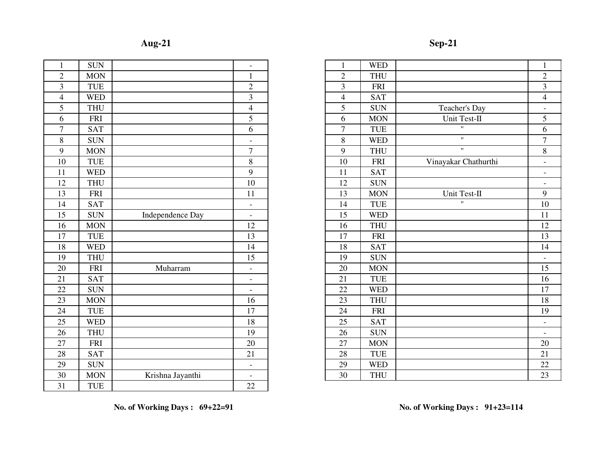| П<br>ю<br>J |  |
|-------------|--|
|             |  |

| 1 | $Sep-21$ |
|---|----------|
|---|----------|

| $\mathbf{1}$     | <b>SUN</b> |                  | $\overline{\phantom{0}}$ | $\mathbf{1}$   | <b>WED</b> |
|------------------|------------|------------------|--------------------------|----------------|------------|
| $\overline{2}$   | <b>MON</b> |                  | $\mathbf{1}$             | $\overline{2}$ | <b>THU</b> |
| 3                | <b>TUE</b> |                  | $\overline{2}$           | 3              | <b>FRI</b> |
| $\overline{4}$   | <b>WED</b> |                  | $\overline{3}$           | $\overline{4}$ | <b>SAT</b> |
| 5                | <b>THU</b> |                  | $\overline{4}$           | 5              | <b>SUN</b> |
| $\overline{6}$   | <b>FRI</b> |                  | $\overline{5}$           | 6              | <b>MON</b> |
| $\boldsymbol{7}$ | <b>SAT</b> |                  | 6                        | $\tau$         | <b>TUE</b> |
| 8                | <b>SUN</b> |                  |                          | 8              | <b>WED</b> |
| 9                | <b>MON</b> |                  | $\overline{7}$           | $\overline{9}$ | <b>THU</b> |
| 10               | <b>TUE</b> |                  | 8                        | 10             | <b>FRI</b> |
| 11               | <b>WED</b> |                  | 9                        | 11             | <b>SAT</b> |
| 12               | <b>THU</b> |                  | 10                       | 12             | <b>SUN</b> |
| 13               | <b>FRI</b> |                  | 11                       | 13             | <b>MON</b> |
| 14               | <b>SAT</b> |                  | $\blacksquare$           | 14             | TUE        |
| 15               | <b>SUN</b> | Independence Day | $\overline{\phantom{0}}$ | 15             | <b>WED</b> |
| 16               | <b>MON</b> |                  | 12                       | 16             | <b>THU</b> |
| 17               | <b>TUE</b> |                  | 13                       | 17             | FRI        |
| 18               | <b>WED</b> |                  | 14                       | 18             | <b>SAT</b> |
| 19               | <b>THU</b> |                  | 15                       | 19             | <b>SUN</b> |
| 20               | <b>FRI</b> | Muharram         | $\overline{a}$           | 20             | <b>MON</b> |
| 21               | <b>SAT</b> |                  | $\overline{a}$           | 21             | TUE        |
| 22               | <b>SUN</b> |                  | $\equiv$                 | 22             | <b>WED</b> |
| 23               | <b>MON</b> |                  | 16                       | 23             | <b>THU</b> |
| 24               | <b>TUE</b> |                  | 17                       | 24             | <b>FRI</b> |
| 25               | <b>WED</b> |                  | 18                       | 25             | <b>SAT</b> |
| 26               | <b>THU</b> |                  | 19                       | 26             | <b>SUN</b> |
| 27               | <b>FRI</b> |                  | 20                       | 27             | <b>MON</b> |
| 28               | <b>SAT</b> |                  | 21                       | 28             | TUE        |
| 29               | <b>SUN</b> |                  | $\overline{\phantom{a}}$ | 29             | <b>WED</b> |
| 30               | <b>MON</b> | Krishna Jayanthi |                          | 30             | <b>THU</b> |
| 31               | <b>TUE</b> |                  | 22                       |                |            |
|                  |            |                  |                          |                |            |

| $\mathbf{1}$                       | <b>SUN</b> |                  | $\overline{\phantom{a}}$ | $\mathbf{1}$   | <b>WED</b> |                      | $\mathbf{1}$             |
|------------------------------------|------------|------------------|--------------------------|----------------|------------|----------------------|--------------------------|
| $\sqrt{2}$                         | <b>MON</b> |                  | $\mathbf{1}$             | $\mathfrak{2}$ | <b>THU</b> |                      | $\mathbf{2}$             |
| $\overline{\overline{3}}$          | <b>TUE</b> |                  | $\overline{2}$           | 3              | <b>FRI</b> |                      | $\overline{3}$           |
| $\overline{4}$                     | <b>WED</b> |                  | $\mathfrak{Z}$           | $\overline{4}$ | <b>SAT</b> |                      | $\overline{4}$           |
| $\overline{5}$                     | <b>THU</b> |                  | $\overline{4}$           | 5              | <b>SUN</b> | Teacher's Day        | $\overline{\phantom{a}}$ |
| $\overline{6}$                     | <b>FRI</b> |                  | 5                        | 6              | <b>MON</b> | Unit Test-II         | 5                        |
| $\overline{7}$                     | <b>SAT</b> |                  | 6                        | $\overline{7}$ | <b>TUE</b> | $\mathbf{H}$         | 6                        |
| $\overline{8}$                     | <b>SUN</b> |                  | $\overline{a}$           | $8\,$          | <b>WED</b> | $\mathbf{H}$         | $\tau$                   |
| $\overline{9}$                     | <b>MON</b> |                  | $\overline{7}$           | 9              | <b>THU</b> | $\mathbf{H}$         | $8\,$                    |
| 10                                 | <b>TUE</b> |                  | 8                        | 10             | <b>FRI</b> | Vinayakar Chathurthi | $\overline{\phantom{a}}$ |
| $\overline{11}$                    | <b>WED</b> |                  | 9                        | 11             | <b>SAT</b> |                      | $\overline{\phantom{a}}$ |
| 12                                 | <b>THU</b> |                  | 10                       | 12             | <b>SUN</b> |                      | $\overline{\phantom{a}}$ |
| 13                                 | <b>FRI</b> |                  | 11                       | 13             | <b>MON</b> | Unit Test-II         | 9                        |
| $\overline{14}$                    | <b>SAT</b> |                  | $\overline{\phantom{a}}$ | 14             | <b>TUE</b> | $\mathbf{H}$         | 10                       |
| $\overline{15}$                    | <b>SUN</b> | Independence Day | $\overline{\phantom{a}}$ | 15             | <b>WED</b> |                      | 11                       |
| 16                                 | <b>MON</b> |                  | 12                       | 16             | <b>THU</b> |                      | 12                       |
| $\overline{17}$                    | <b>TUE</b> |                  | 13                       | 17             | <b>FRI</b> |                      | 13                       |
| 18                                 | <b>WED</b> |                  | 14                       | 18             | <b>SAT</b> |                      | 14                       |
| $\overline{19}$                    | <b>THU</b> |                  | 15                       | 19             | <b>SUN</b> |                      | $\overline{\phantom{a}}$ |
| 20                                 | <b>FRI</b> | Muharram         | $\overline{\phantom{a}}$ | 20             | <b>MON</b> |                      | 15                       |
| $\frac{21}{22}$                    | <b>SAT</b> |                  | $\blacksquare$           | 21             | <b>TUE</b> |                      | 16                       |
|                                    | <b>SUN</b> |                  | $\blacksquare$           | 22             | <b>WED</b> |                      | 17                       |
|                                    | <b>MON</b> |                  | 16                       | 23             | <b>THU</b> |                      | 18                       |
|                                    | <b>TUE</b> |                  | 17                       | 24             | <b>FRI</b> |                      | 19                       |
| $\frac{24}{25}$                    | <b>WED</b> |                  | 18                       | 25             | <b>SAT</b> |                      | $\overline{\phantom{a}}$ |
|                                    | <b>THU</b> |                  | 19                       | 26             | <b>SUN</b> |                      | $\blacksquare$           |
| $\frac{26}{27}$<br>$\frac{28}{29}$ | <b>FRI</b> |                  | 20                       | 27             | <b>MON</b> |                      | 20                       |
|                                    | <b>SAT</b> |                  | 21                       | 28             | <b>TUE</b> |                      | 21                       |
|                                    | <b>SUN</b> |                  | $\overline{\phantom{a}}$ | 29             | <b>WED</b> |                      | 22                       |
| $\overline{30}$                    | <b>MON</b> | Krishna Jayanthi | $\overline{\phantom{0}}$ | 30             | <b>THU</b> |                      | 23                       |
|                                    |            |                  |                          |                |            |                      |                          |

**No. of Working Days : 69+22=91**

**No. of Working Days : 91+23=114**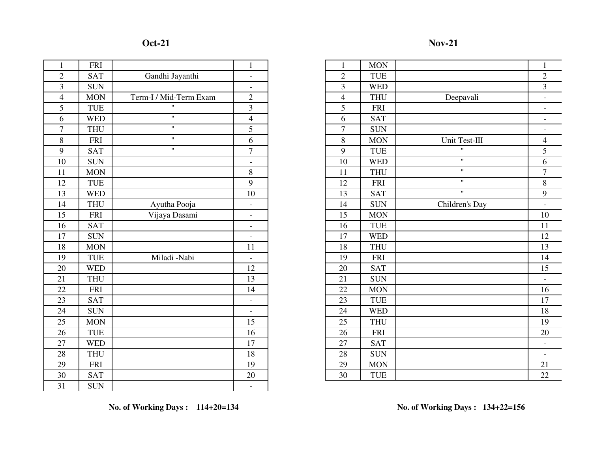### **Oct-21**

# **Nov-21**

| $\overline{2}$<br>$\overline{2}$<br>Gandhi Jayanthi<br><b>SAT</b><br><b>TUE</b><br>$\overline{a}$<br>$\overline{3}$<br>$\overline{3}$<br><b>SUN</b><br><b>WED</b><br>$\overline{\phantom{0}}$<br>$\overline{4}$<br>$\overline{4}$<br>Term-I / Mid-Term Exam<br>$\overline{2}$<br><b>MON</b><br><b>THU</b><br>5<br>Ħ<br>3<br>5<br><b>TUE</b><br><b>FRI</b><br>11<br>6<br>$\overline{4}$<br>6<br><b>WED</b><br><b>SAT</b><br>Ħ<br>$\tau$<br>5<br>$\tau$<br><b>SUN</b><br><b>THU</b><br>11<br>8<br>8<br>6<br><b>FRI</b><br><b>MON</b><br>Ħ.<br>$\overline{9}$<br>9<br>$\overline{7}$<br><b>SAT</b><br><b>TUE</b><br>10<br><b>SUN</b><br>10<br><b>WED</b><br>$\blacksquare$<br>8<br>11<br>11<br><b>MON</b><br><b>THU</b><br>12<br>9<br><b>TUE</b><br>12<br><b>FRI</b><br>13<br><b>WED</b><br><b>SAT</b><br>10<br>13<br>14<br><b>THU</b><br>Ayutha Pooja<br>14<br><b>SUN</b><br>$\qquad \qquad -$<br>15<br>Vijaya Dasami<br><b>FRI</b><br>15<br><b>MON</b><br>$\overline{a}$<br>16<br><b>SAT</b><br>16<br>TUE<br>$\frac{1}{2}$<br>17<br><b>SUN</b><br>17<br><b>WED</b><br>$\overline{\phantom{0}}$<br>18<br><b>MON</b><br>11<br>18<br><b>THU</b><br>19<br>Miladi -Nabi<br>19<br><b>TUE</b><br><b>FRI</b><br>$\overline{\phantom{a}}$<br>20<br><b>WED</b><br>12<br>20<br><b>SAT</b><br>21<br>13<br>21<br><b>THU</b><br><b>SUN</b><br>22<br>22<br><b>FRI</b><br><b>MON</b><br>14<br>23<br><b>SAT</b><br>23<br><b>TUE</b><br>$\overline{a}$<br>24<br>24<br><b>WED</b><br><b>SUN</b><br>$\overline{\phantom{a}}$<br>25<br>15<br>25<br><b>THU</b><br><b>MON</b><br>26<br><b>TUE</b><br>16<br>26<br><b>FRI</b><br>27<br><b>WED</b><br>17<br>27<br><b>SAT</b><br>28<br><b>SUN</b><br><b>THU</b><br>18<br>28<br>29<br>19<br>29<br><b>MON</b><br><b>FRI</b><br>30<br>30<br><b>SAT</b><br>20<br><b>TUE</b><br>31<br><b>SUN</b><br>$\blacksquare$ | $\mathbf{1}$ | <b>FRI</b> | $\mathbf{1}$ | $\mathbf{1}$ | <b>MON</b> |
|-----------------------------------------------------------------------------------------------------------------------------------------------------------------------------------------------------------------------------------------------------------------------------------------------------------------------------------------------------------------------------------------------------------------------------------------------------------------------------------------------------------------------------------------------------------------------------------------------------------------------------------------------------------------------------------------------------------------------------------------------------------------------------------------------------------------------------------------------------------------------------------------------------------------------------------------------------------------------------------------------------------------------------------------------------------------------------------------------------------------------------------------------------------------------------------------------------------------------------------------------------------------------------------------------------------------------------------------------------------------------------------------------------------------------------------------------------------------------------------------------------------------------------------------------------------------------------------------------------------------------------------------------------------------------------------------------------------------------------------------------------------------------------------------------------------------------------------|--------------|------------|--------------|--------------|------------|
|                                                                                                                                                                                                                                                                                                                                                                                                                                                                                                                                                                                                                                                                                                                                                                                                                                                                                                                                                                                                                                                                                                                                                                                                                                                                                                                                                                                                                                                                                                                                                                                                                                                                                                                                                                                                                                   |              |            |              |              |            |
|                                                                                                                                                                                                                                                                                                                                                                                                                                                                                                                                                                                                                                                                                                                                                                                                                                                                                                                                                                                                                                                                                                                                                                                                                                                                                                                                                                                                                                                                                                                                                                                                                                                                                                                                                                                                                                   |              |            |              |              |            |
|                                                                                                                                                                                                                                                                                                                                                                                                                                                                                                                                                                                                                                                                                                                                                                                                                                                                                                                                                                                                                                                                                                                                                                                                                                                                                                                                                                                                                                                                                                                                                                                                                                                                                                                                                                                                                                   |              |            |              |              |            |
|                                                                                                                                                                                                                                                                                                                                                                                                                                                                                                                                                                                                                                                                                                                                                                                                                                                                                                                                                                                                                                                                                                                                                                                                                                                                                                                                                                                                                                                                                                                                                                                                                                                                                                                                                                                                                                   |              |            |              |              |            |
|                                                                                                                                                                                                                                                                                                                                                                                                                                                                                                                                                                                                                                                                                                                                                                                                                                                                                                                                                                                                                                                                                                                                                                                                                                                                                                                                                                                                                                                                                                                                                                                                                                                                                                                                                                                                                                   |              |            |              |              |            |
|                                                                                                                                                                                                                                                                                                                                                                                                                                                                                                                                                                                                                                                                                                                                                                                                                                                                                                                                                                                                                                                                                                                                                                                                                                                                                                                                                                                                                                                                                                                                                                                                                                                                                                                                                                                                                                   |              |            |              |              |            |
|                                                                                                                                                                                                                                                                                                                                                                                                                                                                                                                                                                                                                                                                                                                                                                                                                                                                                                                                                                                                                                                                                                                                                                                                                                                                                                                                                                                                                                                                                                                                                                                                                                                                                                                                                                                                                                   |              |            |              |              |            |
|                                                                                                                                                                                                                                                                                                                                                                                                                                                                                                                                                                                                                                                                                                                                                                                                                                                                                                                                                                                                                                                                                                                                                                                                                                                                                                                                                                                                                                                                                                                                                                                                                                                                                                                                                                                                                                   |              |            |              |              |            |
|                                                                                                                                                                                                                                                                                                                                                                                                                                                                                                                                                                                                                                                                                                                                                                                                                                                                                                                                                                                                                                                                                                                                                                                                                                                                                                                                                                                                                                                                                                                                                                                                                                                                                                                                                                                                                                   |              |            |              |              |            |
|                                                                                                                                                                                                                                                                                                                                                                                                                                                                                                                                                                                                                                                                                                                                                                                                                                                                                                                                                                                                                                                                                                                                                                                                                                                                                                                                                                                                                                                                                                                                                                                                                                                                                                                                                                                                                                   |              |            |              |              |            |
|                                                                                                                                                                                                                                                                                                                                                                                                                                                                                                                                                                                                                                                                                                                                                                                                                                                                                                                                                                                                                                                                                                                                                                                                                                                                                                                                                                                                                                                                                                                                                                                                                                                                                                                                                                                                                                   |              |            |              |              |            |
|                                                                                                                                                                                                                                                                                                                                                                                                                                                                                                                                                                                                                                                                                                                                                                                                                                                                                                                                                                                                                                                                                                                                                                                                                                                                                                                                                                                                                                                                                                                                                                                                                                                                                                                                                                                                                                   |              |            |              |              |            |
|                                                                                                                                                                                                                                                                                                                                                                                                                                                                                                                                                                                                                                                                                                                                                                                                                                                                                                                                                                                                                                                                                                                                                                                                                                                                                                                                                                                                                                                                                                                                                                                                                                                                                                                                                                                                                                   |              |            |              |              |            |
|                                                                                                                                                                                                                                                                                                                                                                                                                                                                                                                                                                                                                                                                                                                                                                                                                                                                                                                                                                                                                                                                                                                                                                                                                                                                                                                                                                                                                                                                                                                                                                                                                                                                                                                                                                                                                                   |              |            |              |              |            |
|                                                                                                                                                                                                                                                                                                                                                                                                                                                                                                                                                                                                                                                                                                                                                                                                                                                                                                                                                                                                                                                                                                                                                                                                                                                                                                                                                                                                                                                                                                                                                                                                                                                                                                                                                                                                                                   |              |            |              |              |            |
|                                                                                                                                                                                                                                                                                                                                                                                                                                                                                                                                                                                                                                                                                                                                                                                                                                                                                                                                                                                                                                                                                                                                                                                                                                                                                                                                                                                                                                                                                                                                                                                                                                                                                                                                                                                                                                   |              |            |              |              |            |
|                                                                                                                                                                                                                                                                                                                                                                                                                                                                                                                                                                                                                                                                                                                                                                                                                                                                                                                                                                                                                                                                                                                                                                                                                                                                                                                                                                                                                                                                                                                                                                                                                                                                                                                                                                                                                                   |              |            |              |              |            |
|                                                                                                                                                                                                                                                                                                                                                                                                                                                                                                                                                                                                                                                                                                                                                                                                                                                                                                                                                                                                                                                                                                                                                                                                                                                                                                                                                                                                                                                                                                                                                                                                                                                                                                                                                                                                                                   |              |            |              |              |            |
|                                                                                                                                                                                                                                                                                                                                                                                                                                                                                                                                                                                                                                                                                                                                                                                                                                                                                                                                                                                                                                                                                                                                                                                                                                                                                                                                                                                                                                                                                                                                                                                                                                                                                                                                                                                                                                   |              |            |              |              |            |
|                                                                                                                                                                                                                                                                                                                                                                                                                                                                                                                                                                                                                                                                                                                                                                                                                                                                                                                                                                                                                                                                                                                                                                                                                                                                                                                                                                                                                                                                                                                                                                                                                                                                                                                                                                                                                                   |              |            |              |              |            |
|                                                                                                                                                                                                                                                                                                                                                                                                                                                                                                                                                                                                                                                                                                                                                                                                                                                                                                                                                                                                                                                                                                                                                                                                                                                                                                                                                                                                                                                                                                                                                                                                                                                                                                                                                                                                                                   |              |            |              |              |            |
|                                                                                                                                                                                                                                                                                                                                                                                                                                                                                                                                                                                                                                                                                                                                                                                                                                                                                                                                                                                                                                                                                                                                                                                                                                                                                                                                                                                                                                                                                                                                                                                                                                                                                                                                                                                                                                   |              |            |              |              |            |
|                                                                                                                                                                                                                                                                                                                                                                                                                                                                                                                                                                                                                                                                                                                                                                                                                                                                                                                                                                                                                                                                                                                                                                                                                                                                                                                                                                                                                                                                                                                                                                                                                                                                                                                                                                                                                                   |              |            |              |              |            |
|                                                                                                                                                                                                                                                                                                                                                                                                                                                                                                                                                                                                                                                                                                                                                                                                                                                                                                                                                                                                                                                                                                                                                                                                                                                                                                                                                                                                                                                                                                                                                                                                                                                                                                                                                                                                                                   |              |            |              |              |            |
|                                                                                                                                                                                                                                                                                                                                                                                                                                                                                                                                                                                                                                                                                                                                                                                                                                                                                                                                                                                                                                                                                                                                                                                                                                                                                                                                                                                                                                                                                                                                                                                                                                                                                                                                                                                                                                   |              |            |              |              |            |
|                                                                                                                                                                                                                                                                                                                                                                                                                                                                                                                                                                                                                                                                                                                                                                                                                                                                                                                                                                                                                                                                                                                                                                                                                                                                                                                                                                                                                                                                                                                                                                                                                                                                                                                                                                                                                                   |              |            |              |              |            |
|                                                                                                                                                                                                                                                                                                                                                                                                                                                                                                                                                                                                                                                                                                                                                                                                                                                                                                                                                                                                                                                                                                                                                                                                                                                                                                                                                                                                                                                                                                                                                                                                                                                                                                                                                                                                                                   |              |            |              |              |            |
|                                                                                                                                                                                                                                                                                                                                                                                                                                                                                                                                                                                                                                                                                                                                                                                                                                                                                                                                                                                                                                                                                                                                                                                                                                                                                                                                                                                                                                                                                                                                                                                                                                                                                                                                                                                                                                   |              |            |              |              |            |
|                                                                                                                                                                                                                                                                                                                                                                                                                                                                                                                                                                                                                                                                                                                                                                                                                                                                                                                                                                                                                                                                                                                                                                                                                                                                                                                                                                                                                                                                                                                                                                                                                                                                                                                                                                                                                                   |              |            |              |              |            |
|                                                                                                                                                                                                                                                                                                                                                                                                                                                                                                                                                                                                                                                                                                                                                                                                                                                                                                                                                                                                                                                                                                                                                                                                                                                                                                                                                                                                                                                                                                                                                                                                                                                                                                                                                                                                                                   |              |            |              |              |            |

| $\mathbf{1}$                                                             | <b>FRI</b> |                        | $\mathbf{1}$             | $\mathbf{1}$   | <b>MON</b> |                    | $\mathbf{1}$             |
|--------------------------------------------------------------------------|------------|------------------------|--------------------------|----------------|------------|--------------------|--------------------------|
| $\sqrt{2}$                                                               | <b>SAT</b> | Gandhi Jayanthi        | $\overline{\phantom{a}}$ | $\mathfrak{2}$ | <b>TUE</b> |                    | $\overline{c}$           |
|                                                                          | <b>SUN</b> |                        | $\overline{\phantom{a}}$ | 3              | <b>WED</b> |                    | $\overline{3}$           |
| $\overline{4}$                                                           | <b>MON</b> | Term-I / Mid-Term Exam | $\overline{2}$           | $\overline{4}$ | <b>THU</b> | Deepavali          | $\overline{\phantom{a}}$ |
| $\overline{5}$                                                           | <b>TUE</b> | $\mathbf{H}$           | $\mathfrak{Z}$           | 5              | <b>FRI</b> |                    | $\overline{\phantom{a}}$ |
| $\overline{6}$                                                           | <b>WED</b> | $\mathbf{H}$           | $\overline{4}$           | 6              | <b>SAT</b> |                    | $\overline{\phantom{a}}$ |
| $\overline{7}$                                                           | <b>THU</b> | $\mathbf{H}$           | 5                        | $\tau$         | <b>SUN</b> |                    | $\overline{a}$           |
| $\,8\,$                                                                  | <b>FRI</b> | $\pmb{\mathsf{H}}$     | 6                        | 8              | <b>MON</b> | Unit Test-III      | $\overline{4}$           |
| $\overline{9}$                                                           | <b>SAT</b> | $\mathbf{H}$           | $\overline{7}$           | 9              | <b>TUE</b> | $\mathbf{H}$       | 5                        |
| 10                                                                       | <b>SUN</b> |                        | $\overline{\phantom{a}}$ | 10             | <b>WED</b> | $\pmb{\mathsf{H}}$ | 6                        |
| $\overline{11}$                                                          | <b>MON</b> |                        | 8                        | 11             | <b>THU</b> | $\pmb{\mathsf{H}}$ | $\overline{7}$           |
| $\overline{12}$                                                          | <b>TUE</b> |                        | 9                        | 12             | <b>FRI</b> | $\mathbf{H}$       | $\,8\,$                  |
| 13                                                                       | <b>WED</b> |                        | 10                       | 13             | <b>SAT</b> | $\mathbf{H}$       | $\mathbf{9}$             |
| 14                                                                       | <b>THU</b> | Ayutha Pooja           | $\overline{\phantom{a}}$ | 14             | <b>SUN</b> | Children's Day     | $\blacksquare$           |
| $\overline{15}$                                                          | <b>FRI</b> | Vijaya Dasami          | $\overline{\phantom{a}}$ | 15             | <b>MON</b> |                    | 10                       |
| 16                                                                       | <b>SAT</b> |                        | $\overline{\phantom{a}}$ | 16             | <b>TUE</b> |                    | 11                       |
| 17                                                                       | <b>SUN</b> |                        | $\overline{\phantom{a}}$ | 17             | <b>WED</b> |                    | 12                       |
| 18                                                                       | <b>MON</b> |                        | 11                       | 18             | <b>THU</b> |                    | 13                       |
| 19                                                                       | <b>TUE</b> | Miladi -Nabi           | $\overline{\phantom{a}}$ | 19             | <b>FRI</b> |                    | 14                       |
| 20                                                                       | <b>WED</b> |                        | 12                       | 20             | <b>SAT</b> |                    | 15                       |
|                                                                          | <b>THU</b> |                        | 13                       | 21             | <b>SUN</b> |                    | $\overline{\phantom{a}}$ |
| $\frac{21}{22}$<br>$\frac{22}{23}$<br>$\frac{24}{25}$<br>$\frac{26}{27}$ | <b>FRI</b> |                        | 14                       | 22             | <b>MON</b> |                    | 16                       |
|                                                                          | <b>SAT</b> |                        | $\blacksquare$           | 23             | <b>TUE</b> |                    | 17                       |
|                                                                          | <b>SUN</b> |                        | $\overline{\phantom{a}}$ | 24             | <b>WED</b> |                    | 18                       |
|                                                                          | <b>MON</b> |                        | 15                       | 25             | <b>THU</b> |                    | 19                       |
|                                                                          | <b>TUE</b> |                        | 16                       | 26             | <b>FRI</b> |                    | 20                       |
|                                                                          | <b>WED</b> |                        | 17                       | 27             | <b>SAT</b> |                    | $\blacksquare$           |
|                                                                          | <b>THU</b> |                        | 18                       | 28             | <b>SUN</b> |                    | $\overline{\phantom{a}}$ |
| $\frac{28}{29}$<br>30                                                    | <b>FRI</b> |                        | 19                       | 29             | <b>MON</b> |                    | 21                       |
|                                                                          | <b>SAT</b> |                        | 20                       | 30             | <b>TUE</b> |                    | 22                       |
|                                                                          |            |                        |                          |                |            |                    |                          |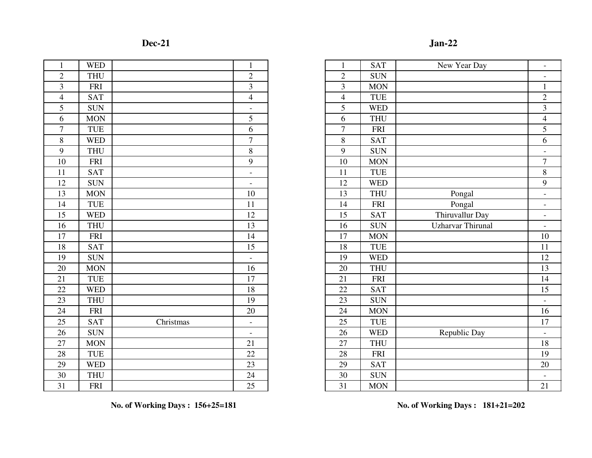| $\overline{2}$<br>$\overline{2}$<br>$\overline{2}$<br><b>THU</b><br>$\overline{3}$<br>3<br>3<br><b>FRI</b><br>$\overline{4}$<br>$\overline{4}$<br>$\overline{4}$<br><b>SAT</b><br>5<br>5<br><b>SUN</b><br>$\blacksquare$<br>5<br>6<br>6<br><b>MON</b><br>$\overline{7}$<br>$\tau$<br><b>TUE</b><br>6<br>$\overline{7}$<br>$\,8\,$<br>8<br><b>WED</b><br>9<br>8<br>9<br><b>THU</b><br>9<br>10<br>10<br><b>FRI</b><br>11<br><b>SAT</b><br>11<br>$\qquad \qquad -$<br>12<br>12<br><b>SUN</b><br>$\overline{\phantom{a}}$<br>13<br>10<br>13<br><b>MON</b><br>14<br><b>TUE</b><br>11<br>14<br>15<br><b>WED</b><br>12<br>15<br>16<br><b>THU</b><br>13<br>16<br>17<br><b>FRI</b><br>14<br>17<br>18<br><b>SAT</b><br>15<br>18<br>19<br><b>SUN</b><br>19<br>$\equiv$<br>20<br>16<br>20<br><b>MON</b><br>21<br><b>TUE</b><br>17<br>21<br>22<br><b>WED</b><br>18<br>22<br>23<br><b>THU</b><br>19<br>23<br>24<br><b>FRI</b><br>20<br>24<br>Christmas<br>25<br>25<br><b>SAT</b><br>$\qquad \qquad -$<br>26<br><b>SUN</b><br>26<br>$\blacksquare$<br>27<br>21<br>27<br><b>MON</b><br>28<br><b>TUE</b><br>22<br>28<br>29<br><b>WED</b><br>23<br>29<br>30<br>24<br>30<br><b>THU</b><br>31<br>25<br>31<br><b>FRI</b> | $\mathbf{1}$ | <b>WED</b> | $\mathbf{1}$ | $\mathbf{1}$ | <b>SAT</b> |
|-----------------------------------------------------------------------------------------------------------------------------------------------------------------------------------------------------------------------------------------------------------------------------------------------------------------------------------------------------------------------------------------------------------------------------------------------------------------------------------------------------------------------------------------------------------------------------------------------------------------------------------------------------------------------------------------------------------------------------------------------------------------------------------------------------------------------------------------------------------------------------------------------------------------------------------------------------------------------------------------------------------------------------------------------------------------------------------------------------------------------------------------------------------------------------------------------------|--------------|------------|--------------|--------------|------------|
|                                                                                                                                                                                                                                                                                                                                                                                                                                                                                                                                                                                                                                                                                                                                                                                                                                                                                                                                                                                                                                                                                                                                                                                                     |              |            |              |              | <b>SUN</b> |
|                                                                                                                                                                                                                                                                                                                                                                                                                                                                                                                                                                                                                                                                                                                                                                                                                                                                                                                                                                                                                                                                                                                                                                                                     |              |            |              |              | <b>MON</b> |
|                                                                                                                                                                                                                                                                                                                                                                                                                                                                                                                                                                                                                                                                                                                                                                                                                                                                                                                                                                                                                                                                                                                                                                                                     |              |            |              |              | <b>TUE</b> |
|                                                                                                                                                                                                                                                                                                                                                                                                                                                                                                                                                                                                                                                                                                                                                                                                                                                                                                                                                                                                                                                                                                                                                                                                     |              |            |              |              | <b>WED</b> |
|                                                                                                                                                                                                                                                                                                                                                                                                                                                                                                                                                                                                                                                                                                                                                                                                                                                                                                                                                                                                                                                                                                                                                                                                     |              |            |              |              | <b>THU</b> |
|                                                                                                                                                                                                                                                                                                                                                                                                                                                                                                                                                                                                                                                                                                                                                                                                                                                                                                                                                                                                                                                                                                                                                                                                     |              |            |              |              | FRI        |
|                                                                                                                                                                                                                                                                                                                                                                                                                                                                                                                                                                                                                                                                                                                                                                                                                                                                                                                                                                                                                                                                                                                                                                                                     |              |            |              |              | <b>SAT</b> |
|                                                                                                                                                                                                                                                                                                                                                                                                                                                                                                                                                                                                                                                                                                                                                                                                                                                                                                                                                                                                                                                                                                                                                                                                     |              |            |              |              | <b>SUN</b> |
|                                                                                                                                                                                                                                                                                                                                                                                                                                                                                                                                                                                                                                                                                                                                                                                                                                                                                                                                                                                                                                                                                                                                                                                                     |              |            |              |              | <b>MON</b> |
|                                                                                                                                                                                                                                                                                                                                                                                                                                                                                                                                                                                                                                                                                                                                                                                                                                                                                                                                                                                                                                                                                                                                                                                                     |              |            |              |              | <b>TUE</b> |
|                                                                                                                                                                                                                                                                                                                                                                                                                                                                                                                                                                                                                                                                                                                                                                                                                                                                                                                                                                                                                                                                                                                                                                                                     |              |            |              |              | <b>WED</b> |
|                                                                                                                                                                                                                                                                                                                                                                                                                                                                                                                                                                                                                                                                                                                                                                                                                                                                                                                                                                                                                                                                                                                                                                                                     |              |            |              |              | <b>THU</b> |
|                                                                                                                                                                                                                                                                                                                                                                                                                                                                                                                                                                                                                                                                                                                                                                                                                                                                                                                                                                                                                                                                                                                                                                                                     |              |            |              |              | <b>FRI</b> |
|                                                                                                                                                                                                                                                                                                                                                                                                                                                                                                                                                                                                                                                                                                                                                                                                                                                                                                                                                                                                                                                                                                                                                                                                     |              |            |              |              | <b>SAT</b> |
|                                                                                                                                                                                                                                                                                                                                                                                                                                                                                                                                                                                                                                                                                                                                                                                                                                                                                                                                                                                                                                                                                                                                                                                                     |              |            |              |              | <b>SUN</b> |
|                                                                                                                                                                                                                                                                                                                                                                                                                                                                                                                                                                                                                                                                                                                                                                                                                                                                                                                                                                                                                                                                                                                                                                                                     |              |            |              |              | <b>MON</b> |
|                                                                                                                                                                                                                                                                                                                                                                                                                                                                                                                                                                                                                                                                                                                                                                                                                                                                                                                                                                                                                                                                                                                                                                                                     |              |            |              |              | <b>TUE</b> |
|                                                                                                                                                                                                                                                                                                                                                                                                                                                                                                                                                                                                                                                                                                                                                                                                                                                                                                                                                                                                                                                                                                                                                                                                     |              |            |              |              | <b>WED</b> |
|                                                                                                                                                                                                                                                                                                                                                                                                                                                                                                                                                                                                                                                                                                                                                                                                                                                                                                                                                                                                                                                                                                                                                                                                     |              |            |              |              | <b>THU</b> |
|                                                                                                                                                                                                                                                                                                                                                                                                                                                                                                                                                                                                                                                                                                                                                                                                                                                                                                                                                                                                                                                                                                                                                                                                     |              |            |              |              | <b>FRI</b> |
|                                                                                                                                                                                                                                                                                                                                                                                                                                                                                                                                                                                                                                                                                                                                                                                                                                                                                                                                                                                                                                                                                                                                                                                                     |              |            |              |              | <b>SAT</b> |
|                                                                                                                                                                                                                                                                                                                                                                                                                                                                                                                                                                                                                                                                                                                                                                                                                                                                                                                                                                                                                                                                                                                                                                                                     |              |            |              |              | <b>SUN</b> |
|                                                                                                                                                                                                                                                                                                                                                                                                                                                                                                                                                                                                                                                                                                                                                                                                                                                                                                                                                                                                                                                                                                                                                                                                     |              |            |              |              | <b>MON</b> |
|                                                                                                                                                                                                                                                                                                                                                                                                                                                                                                                                                                                                                                                                                                                                                                                                                                                                                                                                                                                                                                                                                                                                                                                                     |              |            |              |              | <b>TUE</b> |
|                                                                                                                                                                                                                                                                                                                                                                                                                                                                                                                                                                                                                                                                                                                                                                                                                                                                                                                                                                                                                                                                                                                                                                                                     |              |            |              |              | <b>WED</b> |
|                                                                                                                                                                                                                                                                                                                                                                                                                                                                                                                                                                                                                                                                                                                                                                                                                                                                                                                                                                                                                                                                                                                                                                                                     |              |            |              |              | <b>THU</b> |
|                                                                                                                                                                                                                                                                                                                                                                                                                                                                                                                                                                                                                                                                                                                                                                                                                                                                                                                                                                                                                                                                                                                                                                                                     |              |            |              |              | <b>FRI</b> |
|                                                                                                                                                                                                                                                                                                                                                                                                                                                                                                                                                                                                                                                                                                                                                                                                                                                                                                                                                                                                                                                                                                                                                                                                     |              |            |              |              | <b>SAT</b> |
|                                                                                                                                                                                                                                                                                                                                                                                                                                                                                                                                                                                                                                                                                                                                                                                                                                                                                                                                                                                                                                                                                                                                                                                                     |              |            |              |              | <b>SUN</b> |
|                                                                                                                                                                                                                                                                                                                                                                                                                                                                                                                                                                                                                                                                                                                                                                                                                                                                                                                                                                                                                                                                                                                                                                                                     |              |            |              |              | <b>MON</b> |

|                         |            |           |                          |                |            | $Jan-22$                 |                          |
|-------------------------|------------|-----------|--------------------------|----------------|------------|--------------------------|--------------------------|
| $\mathbf{1}$            | <b>WED</b> |           | $\mathbf{1}$             |                | <b>SAT</b> | New Year Day             | $\overline{\phantom{a}}$ |
| $\overline{2}$          | <b>THU</b> |           | $\overline{2}$           | $\overline{2}$ | <b>SUN</b> |                          |                          |
| $\overline{\mathbf{3}}$ | <b>FRI</b> |           | 3                        | 3              | <b>MON</b> |                          | $\mathbf{1}$             |
| $\frac{4}{5}$           | <b>SAT</b> |           | $\overline{4}$           | $\overline{4}$ | TUE        |                          | $\overline{2}$           |
|                         | <b>SUN</b> |           | $\overline{\phantom{a}}$ | 5              | <b>WED</b> |                          | $\overline{3}$           |
| $\overline{6}$          | <b>MON</b> |           | 5                        | 6              | <b>THU</b> |                          | $\overline{4}$           |
| $\overline{7}$          | <b>TUE</b> |           | 6                        | $\tau$         | <b>FRI</b> |                          | 5                        |
| $\frac{8}{9}$           | <b>WED</b> |           | $\tau$                   | 8              | <b>SAT</b> |                          | 6                        |
|                         | <b>THU</b> |           | $8\,$                    | 9              | <b>SUN</b> |                          | $\overline{\phantom{a}}$ |
| $\overline{10}$         | <b>FRI</b> |           | 9                        | 10             | <b>MON</b> |                          | $\overline{7}$           |
| 11                      | <b>SAT</b> |           | $\overline{\phantom{a}}$ | 11             | <b>TUE</b> |                          | 8                        |
| $\overline{12}$         | <b>SUN</b> |           | $\overline{a}$           | 12             | <b>WED</b> |                          | 9                        |
| $\overline{13}$         | <b>MON</b> |           | 10                       | 13             | <b>THU</b> | Pongal                   | $\overline{\phantom{a}}$ |
| $\overline{14}$         | <b>TUE</b> |           | 11                       | 14             | <b>FRI</b> | Pongal                   | $\overline{\phantom{a}}$ |
| $\overline{15}$         | <b>WED</b> |           | 12                       | 15             | <b>SAT</b> | Thiruvallur Day          | $\overline{\phantom{a}}$ |
| $\overline{16}$         | <b>THU</b> |           | 13                       | 16             | <b>SUN</b> | <b>Uzharvar Thirunal</b> | $\overline{\phantom{a}}$ |
| $\overline{17}$         | <b>FRI</b> |           | 14                       | 17             | <b>MON</b> |                          | 10                       |
| 18                      | <b>SAT</b> |           | 15                       | 18             | <b>TUE</b> |                          | 11                       |
| 19                      | <b>SUN</b> |           |                          | 19             | <b>WED</b> |                          | 12                       |
| 20                      | <b>MON</b> |           | 16                       | 20             | <b>THU</b> |                          | 13                       |
| $\overline{21}$         | <b>TUE</b> |           | 17                       | 21             | <b>FRI</b> |                          | 14                       |
| $\overline{22}$         | <b>WED</b> |           | 18                       | 22             | <b>SAT</b> |                          | 15                       |
| 23                      | <b>THU</b> |           | 19                       | 23             | <b>SUN</b> |                          |                          |
| $\frac{24}{25}$         | <b>FRI</b> |           | 20                       | 24             | <b>MON</b> |                          | 16                       |
|                         | <b>SAT</b> | Christmas | $\overline{\phantom{a}}$ | 25             | <b>TUE</b> |                          | 17                       |
| $\overline{26}$         | <b>SUN</b> |           | $\overline{\phantom{a}}$ | 26             | <b>WED</b> | Republic Day             |                          |
| $\overline{27}$         | <b>MON</b> |           | 21                       | 27             | <b>THU</b> |                          | 18                       |
| 28                      | <b>TUE</b> |           | 22                       | 28             | <b>FRI</b> |                          | 19                       |
| 29                      | <b>WED</b> |           | 23                       | 29             | <b>SAT</b> |                          | 20                       |
| 30                      | <b>THU</b> |           | 24                       | 30             | <b>SUN</b> |                          |                          |
| $\overline{31}$         | <b>FRI</b> |           | 25                       | 31             | <b>MON</b> |                          | 21                       |

**No. of Working Days : 156+25=181**

**No. of Working Days : 181+21=202**